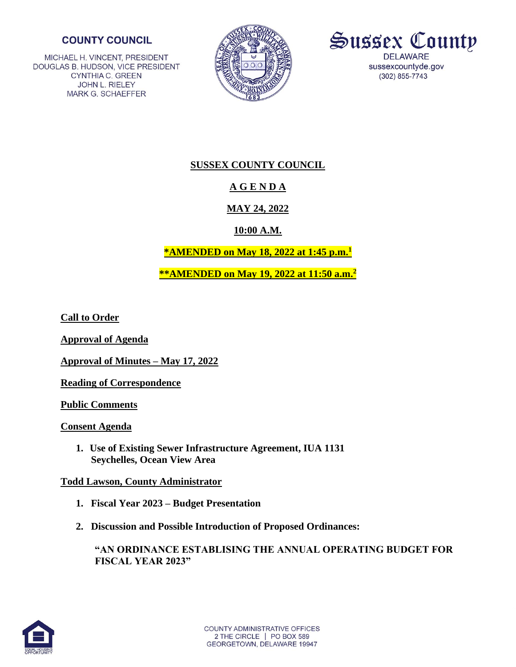### **COUNTY COUNCIL**

MICHAEL H. VINCENT, PRESIDENT DOUGLAS B. HUDSON, VICE PRESIDENT **CYNTHIA C. GREEN** JOHN L. RIELEY **MARK G. SCHAEFFER** 





## **SUSSEX COUNTY COUNCIL**

# **A G E N D A**

## **MAY 24, 2022**

### **10:00 A.M.**

## **\*AMENDED on May 18, 2022 at 1:45 p.m.<sup>1</sup>**

**\*\*AMENDED on May 19, 2022 at 11:50 a.m.<sup>2</sup>**

**Call to Order**

**Approval of Agenda**

**Approval of Minutes – May 17, 2022**

**Reading of Correspondence**

**Public Comments**

**Consent Agenda** 

**1. Use of Existing Sewer Infrastructure Agreement, IUA 1131 Seychelles, Ocean View Area** 

### **Todd Lawson, County Administrator**

- **1. Fiscal Year 2023 – Budget Presentation**
- **2. Discussion and Possible Introduction of Proposed Ordinances:**

**"AN ORDINANCE ESTABLISING THE ANNUAL OPERATING BUDGET FOR FISCAL YEAR 2023"**

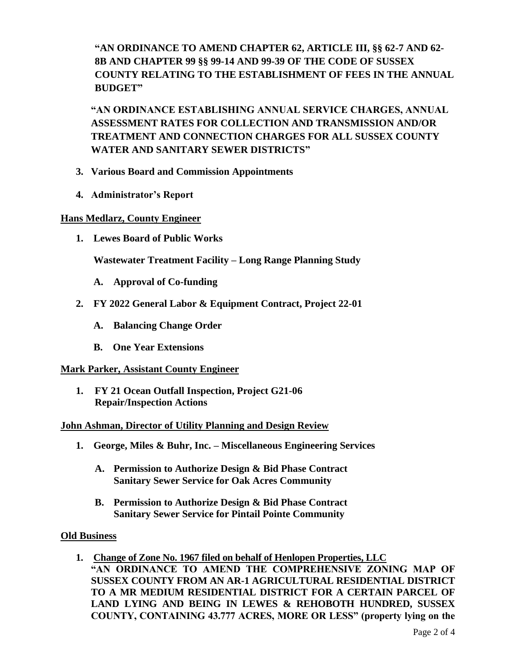**"AN ORDINANCE TO AMEND CHAPTER 62, ARTICLE III, §§ 62-7 AND 62- 8B AND CHAPTER 99 §§ 99-14 AND 99-39 OF THE CODE OF SUSSEX COUNTY RELATING TO THE ESTABLISHMENT OF FEES IN THE ANNUAL BUDGET"** 

**"AN ORDINANCE ESTABLISHING ANNUAL SERVICE CHARGES, ANNUAL ASSESSMENT RATES FOR COLLECTION AND TRANSMISSION AND/OR TREATMENT AND CONNECTION CHARGES FOR ALL SUSSEX COUNTY WATER AND SANITARY SEWER DISTRICTS"**

- **3. Various Board and Commission Appointments**
- **4. Administrator's Report**

#### **Hans Medlarz, County Engineer**

 **1. Lewes Board of Public Works**

 **Wastewater Treatment Facility – Long Range Planning Study**

- **A. Approval of Co-funding**
- **2. FY 2022 General Labor & Equipment Contract, Project 22-01**
	- **A. Balancing Change Order**
	- **B. One Year Extensions**

#### **Mark Parker, Assistant County Engineer**

**1. FY 21 Ocean Outfall Inspection, Project G21-06 Repair/Inspection Actions**

#### **John Ashman, Director of Utility Planning and Design Review**

- **1. George, Miles & Buhr, Inc. – Miscellaneous Engineering Services**
	- **A. Permission to Authorize Design & Bid Phase Contract Sanitary Sewer Service for Oak Acres Community**
	- **B. Permission to Authorize Design & Bid Phase Contract Sanitary Sewer Service for Pintail Pointe Community**

#### **Old Business**

**1. Change of Zone No. 1967 filed on behalf of Henlopen Properties, LLC "AN ORDINANCE TO AMEND THE COMPREHENSIVE ZONING MAP OF SUSSEX COUNTY FROM AN AR-1 AGRICULTURAL RESIDENTIAL DISTRICT TO A MR MEDIUM RESIDENTIAL DISTRICT FOR A CERTAIN PARCEL OF LAND LYING AND BEING IN LEWES & REHOBOTH HUNDRED, SUSSEX COUNTY, CONTAINING 43.777 ACRES, MORE OR LESS" (property lying on the**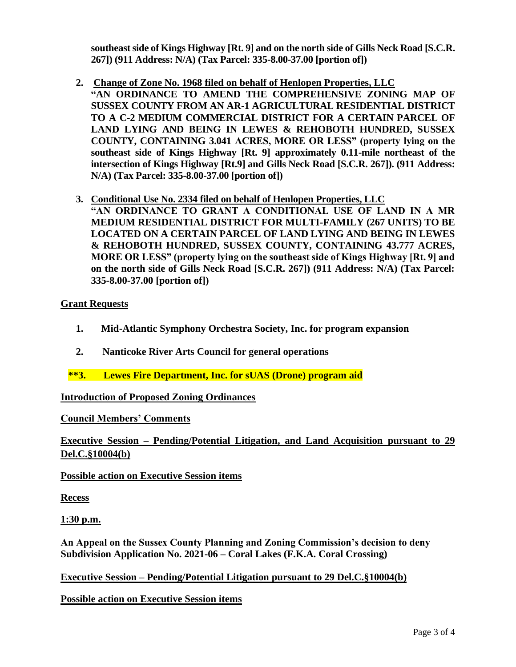**southeast side of Kings Highway [Rt. 9] and on the north side of Gills Neck Road [S.C.R. 267]) (911 Address: N/A) (Tax Parcel: 335-8.00-37.00 [portion of])** 

- **2. Change of Zone No. 1968 filed on behalf of Henlopen Properties, LLC "AN ORDINANCE TO AMEND THE COMPREHENSIVE ZONING MAP OF SUSSEX COUNTY FROM AN AR-1 AGRICULTURAL RESIDENTIAL DISTRICT TO A C-2 MEDIUM COMMERCIAL DISTRICT FOR A CERTAIN PARCEL OF LAND LYING AND BEING IN LEWES & REHOBOTH HUNDRED, SUSSEX COUNTY, CONTAINING 3.041 ACRES, MORE OR LESS" (property lying on the southeast side of Kings Highway [Rt. 9] approximately 0.11-mile northeast of the intersection of Kings Highway [Rt.9] and Gills Neck Road [S.C.R. 267]). (911 Address: N/A) (Tax Parcel: 335-8.00-37.00 [portion of])**
- **3. Conditional Use No. 2334 filed on behalf of Henlopen Properties, LLC "AN ORDINANCE TO GRANT A CONDITIONAL USE OF LAND IN A MR MEDIUM RESIDENTIAL DISTRICT FOR MULTI-FAMILY (267 UNITS) TO BE LOCATED ON A CERTAIN PARCEL OF LAND LYING AND BEING IN LEWES & REHOBOTH HUNDRED, SUSSEX COUNTY, CONTAINING 43.777 ACRES, MORE OR LESS" (property lying on the southeast side of Kings Highway [Rt. 9] and on the north side of Gills Neck Road [S.C.R. 267]) (911 Address: N/A) (Tax Parcel: 335-8.00-37.00 [portion of])**

#### **Grant Requests**

- **1. Mid-Atlantic Symphony Orchestra Society, Inc. for program expansion**
- **2. Nanticoke River Arts Council for general operations**
- **\*\*3. Lewes Fire Department, Inc. for sUAS (Drone) program aid**

#### **Introduction of Proposed Zoning Ordinances**

#### **Council Members' Comments**

**Executive Session – Pending/Potential Litigation, and Land Acquisition pursuant to 29 Del.C.§10004(b)**

**Possible action on Executive Session items**

**Recess** 

**1:30 p.m.**

**An Appeal on the Sussex County Planning and Zoning Commission's decision to deny Subdivision Application No. 2021-06 – Coral Lakes (F.K.A. Coral Crossing)** 

**Executive Session – Pending/Potential Litigation pursuant to 29 Del.C.§10004(b)**

**Possible action on Executive Session items**